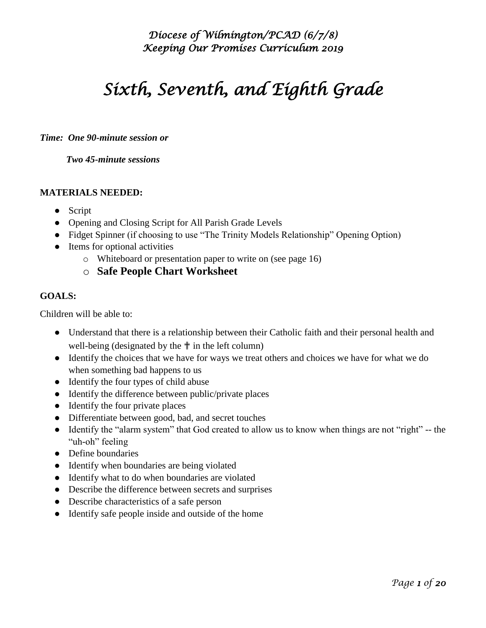# *Sixth, Seventh, and Eighth Grade*

#### *Time: One 90-minute session or*

 *Two 45-minute sessions* 

#### **MATERIALS NEEDED:**

- Script
- Opening and Closing Script for All Parish Grade Levels
- Fidget Spinner (if choosing to use "The Trinity Models Relationship" Opening Option)
- Items for optional activities
	- o Whiteboard or presentation paper to write on (see page 16)
	- o **Safe People Chart Worksheet**

#### **GOALS:**

Children will be able to:

- Understand that there is a relationship between their Catholic faith and their personal health and well-being (designated by the  $\uparrow$  in the left column)
- Identify the choices that we have for ways we treat others and choices we have for what we do when something bad happens to us
- Identify the four types of child abuse
- Identify the difference between public/private places
- Identify the four private places
- Differentiate between good, bad, and secret touches
- Identify the "alarm system" that God created to allow us to know when things are not "right" -- the "uh-oh" feeling
- Define boundaries
- Identify when boundaries are being violated
- Identify what to do when boundaries are violated
- Describe the difference between secrets and surprises
- Describe characteristics of a safe person
- Identify safe people inside and outside of the home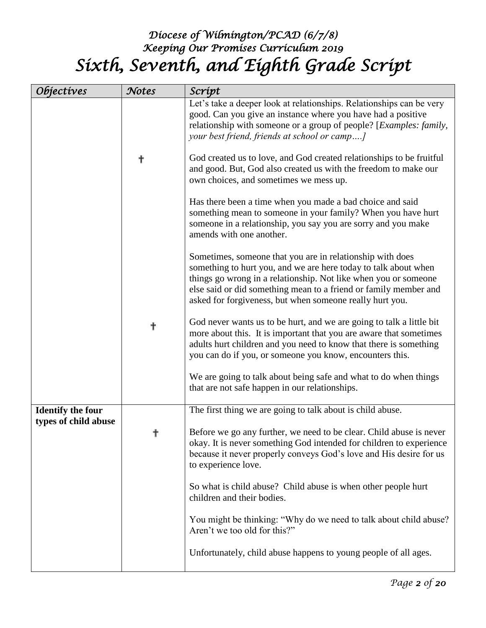## *Diocese of Wilmington/PCAD (6/7/8) Keeping Our Promises Curriculum 2019 Sixth, Seventh, and Eighth Grade Script*

| <i><b>Objectives</b></i> | Notes | Scrípt                                                                                                                                                                                                                                                                                                                          |
|--------------------------|-------|---------------------------------------------------------------------------------------------------------------------------------------------------------------------------------------------------------------------------------------------------------------------------------------------------------------------------------|
|                          |       | Let's take a deeper look at relationships. Relationships can be very<br>good. Can you give an instance where you have had a positive<br>relationship with someone or a group of people? [Examples: family,<br>your best friend, friends at school or camp]                                                                      |
|                          | ╉     | God created us to love, and God created relationships to be fruitful<br>and good. But, God also created us with the freedom to make our<br>own choices, and sometimes we mess up.                                                                                                                                               |
|                          |       | Has there been a time when you made a bad choice and said<br>something mean to someone in your family? When you have hurt<br>someone in a relationship, you say you are sorry and you make<br>amends with one another.                                                                                                          |
|                          |       | Sometimes, someone that you are in relationship with does<br>something to hurt you, and we are here today to talk about when<br>things go wrong in a relationship. Not like when you or someone<br>else said or did something mean to a friend or family member and<br>asked for forgiveness, but when someone really hurt you. |
|                          | ╋     | God never wants us to be hurt, and we are going to talk a little bit<br>more about this. It is important that you are aware that sometimes<br>adults hurt children and you need to know that there is something<br>you can do if you, or someone you know, encounters this.                                                     |
|                          |       | We are going to talk about being safe and what to do when things<br>that are not safe happen in our relationships.                                                                                                                                                                                                              |
| <b>Identify the four</b> |       | The first thing we are going to talk about is child abuse.                                                                                                                                                                                                                                                                      |
| types of child abuse     | ╋     | Before we go any further, we need to be clear. Child abuse is never<br>okay. It is never something God intended for children to experience<br>because it never properly conveys God's love and His desire for us<br>to experience love.                                                                                         |
|                          |       | So what is child abuse? Child abuse is when other people hurt<br>children and their bodies.                                                                                                                                                                                                                                     |
|                          |       | You might be thinking: "Why do we need to talk about child abuse?<br>Aren't we too old for this?"                                                                                                                                                                                                                               |
|                          |       | Unfortunately, child abuse happens to young people of all ages.                                                                                                                                                                                                                                                                 |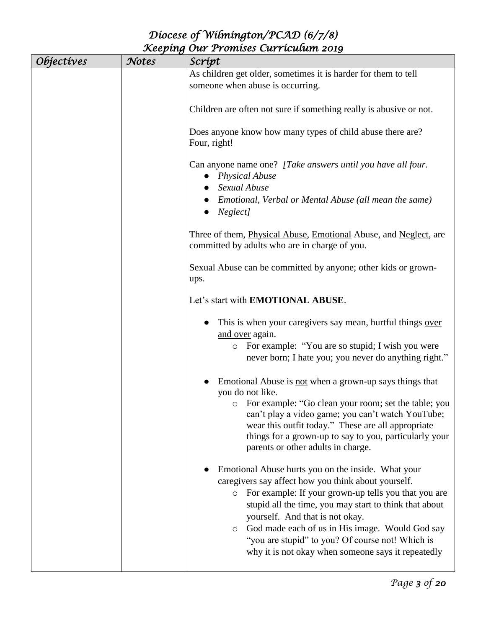| <i><b>Objectives</b></i> | Notes | Scrípt                                                                                                                                                                                                                                                                                                                                                                                                                                            |
|--------------------------|-------|---------------------------------------------------------------------------------------------------------------------------------------------------------------------------------------------------------------------------------------------------------------------------------------------------------------------------------------------------------------------------------------------------------------------------------------------------|
|                          |       | As children get older, sometimes it is harder for them to tell<br>someone when abuse is occurring.                                                                                                                                                                                                                                                                                                                                                |
|                          |       | Children are often not sure if something really is abusive or not.                                                                                                                                                                                                                                                                                                                                                                                |
|                          |       | Does anyone know how many types of child abuse there are?<br>Four, right!                                                                                                                                                                                                                                                                                                                                                                         |
|                          |       | Can anyone name one? [Take answers until you have all four.<br>• Physical Abuse                                                                                                                                                                                                                                                                                                                                                                   |
|                          |       | Sexual Abuse<br>Emotional, Verbal or Mental Abuse (all mean the same)<br>Neglect]                                                                                                                                                                                                                                                                                                                                                                 |
|                          |       | Three of them, Physical Abuse, Emotional Abuse, and Neglect, are<br>committed by adults who are in charge of you.                                                                                                                                                                                                                                                                                                                                 |
|                          |       | Sexual Abuse can be committed by anyone; other kids or grown-<br>ups.                                                                                                                                                                                                                                                                                                                                                                             |
|                          |       | Let's start with EMOTIONAL ABUSE.                                                                                                                                                                                                                                                                                                                                                                                                                 |
|                          |       | This is when your caregivers say mean, hurtful things over<br>and over again.<br>• For example: "You are so stupid; I wish you were<br>never born; I hate you; you never do anything right."                                                                                                                                                                                                                                                      |
|                          |       | Emotional Abuse is not when a grown-up says things that<br>you do not like.<br>• For example: "Go clean your room; set the table; you<br>can't play a video game; you can't watch YouTube;<br>wear this outfit today." These are all appropriate<br>things for a grown-up to say to you, particularly your<br>parents or other adults in charge.                                                                                                  |
|                          |       | Emotional Abuse hurts you on the inside. What your<br>caregivers say affect how you think about yourself.<br>For example: If your grown-up tells you that you are<br>$\circ$<br>stupid all the time, you may start to think that about<br>yourself. And that is not okay.<br>God made each of us in His image. Would God say<br>$\circ$<br>"you are stupid" to you? Of course not! Which is<br>why it is not okay when someone says it repeatedly |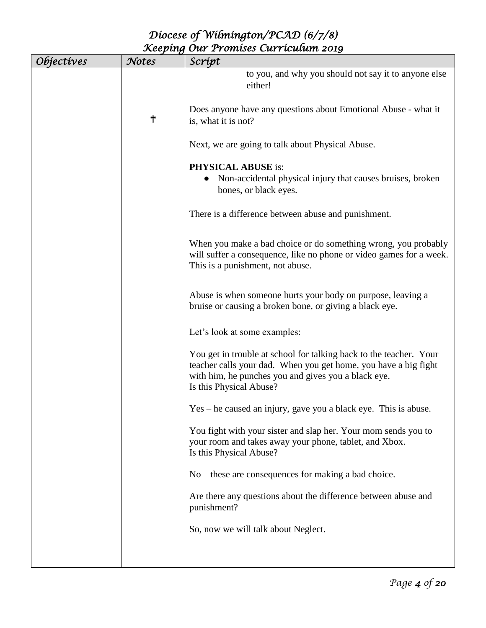| <i><b>Objectives</b></i> | Notes | Scrípt                                                                                                                                                                                                                  |
|--------------------------|-------|-------------------------------------------------------------------------------------------------------------------------------------------------------------------------------------------------------------------------|
|                          |       | to you, and why you should not say it to anyone else<br>either!                                                                                                                                                         |
|                          | ╉     | Does anyone have any questions about Emotional Abuse - what it<br>is, what it is not?                                                                                                                                   |
|                          |       | Next, we are going to talk about Physical Abuse.                                                                                                                                                                        |
|                          |       | <b>PHYSICAL ABUSE is:</b><br>Non-accidental physical injury that causes bruises, broken<br>bones, or black eyes.                                                                                                        |
|                          |       | There is a difference between abuse and punishment.                                                                                                                                                                     |
|                          |       | When you make a bad choice or do something wrong, you probably<br>will suffer a consequence, like no phone or video games for a week.<br>This is a punishment, not abuse.                                               |
|                          |       | Abuse is when someone hurts your body on purpose, leaving a<br>bruise or causing a broken bone, or giving a black eye.                                                                                                  |
|                          |       | Let's look at some examples:                                                                                                                                                                                            |
|                          |       | You get in trouble at school for talking back to the teacher. Your<br>teacher calls your dad. When you get home, you have a big fight<br>with him, he punches you and gives you a black eye.<br>Is this Physical Abuse? |
|                          |       | Yes – he caused an injury, gave you a black eye. This is abuse.                                                                                                                                                         |
|                          |       | You fight with your sister and slap her. Your mom sends you to<br>your room and takes away your phone, tablet, and Xbox.<br>Is this Physical Abuse?                                                                     |
|                          |       | $No$ – these are consequences for making a bad choice.                                                                                                                                                                  |
|                          |       | Are there any questions about the difference between abuse and<br>punishment?                                                                                                                                           |
|                          |       | So, now we will talk about Neglect.                                                                                                                                                                                     |
|                          |       |                                                                                                                                                                                                                         |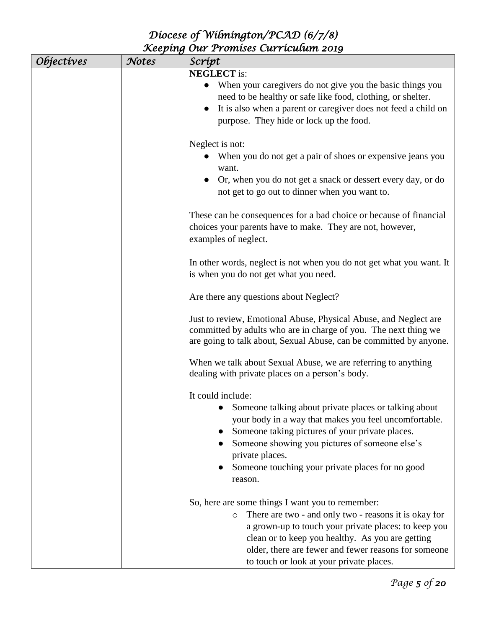| <i><b>Objectives</b></i> | Notes | Script                                                                                                                                                                                                                                                                                                                               |
|--------------------------|-------|--------------------------------------------------------------------------------------------------------------------------------------------------------------------------------------------------------------------------------------------------------------------------------------------------------------------------------------|
|                          |       | <b>NEGLECT</b> is:<br>When your caregivers do not give you the basic things you<br>need to be healthy or safe like food, clothing, or shelter.<br>It is also when a parent or caregiver does not feed a child on<br>$\bullet$<br>purpose. They hide or lock up the food.                                                             |
|                          |       | Neglect is not:<br>When you do not get a pair of shoes or expensive jeans you<br>want.<br>Or, when you do not get a snack or dessert every day, or do<br>not get to go out to dinner when you want to.                                                                                                                               |
|                          |       | These can be consequences for a bad choice or because of financial<br>choices your parents have to make. They are not, however,<br>examples of neglect.                                                                                                                                                                              |
|                          |       | In other words, neglect is not when you do not get what you want. It<br>is when you do not get what you need.                                                                                                                                                                                                                        |
|                          |       | Are there any questions about Neglect?                                                                                                                                                                                                                                                                                               |
|                          |       | Just to review, Emotional Abuse, Physical Abuse, and Neglect are<br>committed by adults who are in charge of you. The next thing we<br>are going to talk about, Sexual Abuse, can be committed by anyone.                                                                                                                            |
|                          |       | When we talk about Sexual Abuse, we are referring to anything<br>dealing with private places on a person's body.                                                                                                                                                                                                                     |
|                          |       | It could include:<br>• Someone talking about private places or talking about<br>your body in a way that makes you feel uncomfortable.<br>Someone taking pictures of your private places.<br>Someone showing you pictures of someone else's<br>private places.<br>Someone touching your private places for no good<br>reason.         |
|                          |       | So, here are some things I want you to remember:<br>There are two - and only two - reasons it is okay for<br>$\circ$<br>a grown-up to touch your private places: to keep you<br>clean or to keep you healthy. As you are getting<br>older, there are fewer and fewer reasons for someone<br>to touch or look at your private places. |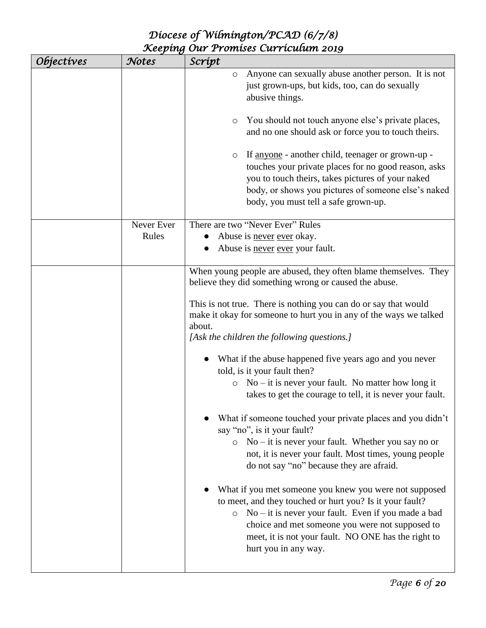| <i><b>Objectives</b></i> | Notes               | Scrípt                                                                                                                                                                                                                                                                                                                                                                                                                                                                                                                                                                                                                                                                                                                                                                                                                                                                                                                                                                                                                                                                                                                                      |
|--------------------------|---------------------|---------------------------------------------------------------------------------------------------------------------------------------------------------------------------------------------------------------------------------------------------------------------------------------------------------------------------------------------------------------------------------------------------------------------------------------------------------------------------------------------------------------------------------------------------------------------------------------------------------------------------------------------------------------------------------------------------------------------------------------------------------------------------------------------------------------------------------------------------------------------------------------------------------------------------------------------------------------------------------------------------------------------------------------------------------------------------------------------------------------------------------------------|
|                          |                     | Anyone can sexually abuse another person. It is not<br>$\circ$<br>just grown-ups, but kids, too, can do sexually<br>abusive things.<br>You should not touch anyone else's private places,<br>$\circ$<br>and no one should ask or force you to touch theirs.<br>If <u>anyone</u> - another child, teenager or grown-up -<br>$\circ$<br>touches your private places for no good reason, asks<br>you to touch theirs, takes pictures of your naked<br>body, or shows you pictures of someone else's naked<br>body, you must tell a safe grown-up.                                                                                                                                                                                                                                                                                                                                                                                                                                                                                                                                                                                              |
|                          | Never Ever<br>Rules | There are two "Never Ever" Rules<br>Abuse is never ever okay.<br>Abuse is never ever your fault.                                                                                                                                                                                                                                                                                                                                                                                                                                                                                                                                                                                                                                                                                                                                                                                                                                                                                                                                                                                                                                            |
|                          |                     | When young people are abused, they often blame themselves. They<br>believe they did something wrong or caused the abuse.<br>This is not true. There is nothing you can do or say that would<br>make it okay for someone to hurt you in any of the ways we talked<br>about.<br>[Ask the children the following questions.]<br>What if the abuse happened five years ago and you never<br>told, is it your fault then?<br>$No - it$ is never your fault. No matter how long it<br>$\circ$<br>takes to get the courage to tell, it is never your fault.<br>What if someone touched your private places and you didn't<br>say "no", is it your fault?<br>$\circ$ No – it is never your fault. Whether you say no or<br>not, it is never your fault. Most times, young people<br>do not say "no" because they are afraid.<br>What if you met someone you knew you were not supposed<br>to meet, and they touched or hurt you? Is it your fault?<br>$\circ$ No – it is never your fault. Even if you made a bad<br>choice and met someone you were not supposed to<br>meet, it is not your fault. NO ONE has the right to<br>hurt you in any way. |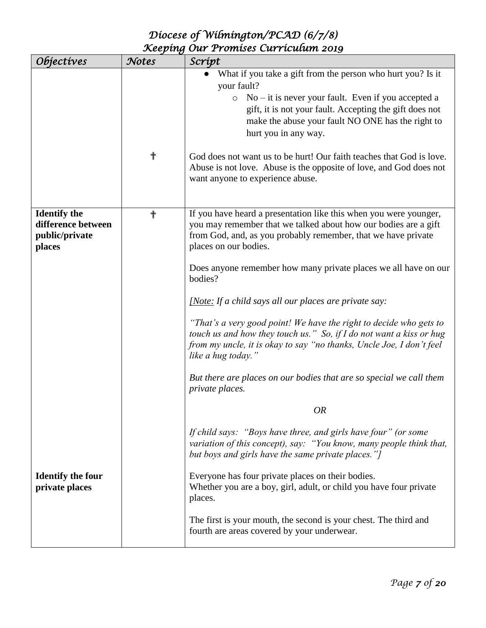| <i>Objectives</i>                                                     | Notes | Scrípt                                                                                                                                                                                                                                                                                                                                                                                                                                                                                                                                                                                                                                                                                                                   |
|-----------------------------------------------------------------------|-------|--------------------------------------------------------------------------------------------------------------------------------------------------------------------------------------------------------------------------------------------------------------------------------------------------------------------------------------------------------------------------------------------------------------------------------------------------------------------------------------------------------------------------------------------------------------------------------------------------------------------------------------------------------------------------------------------------------------------------|
|                                                                       | ╋     | What if you take a gift from the person who hurt you? Is it<br>your fault?<br>$No - it$ is never your fault. Even if you accepted a<br>$\circ$<br>gift, it is not your fault. Accepting the gift does not<br>make the abuse your fault NO ONE has the right to<br>hurt you in any way.<br>God does not want us to be hurt! Our faith teaches that God is love.<br>Abuse is not love. Abuse is the opposite of love, and God does not<br>want anyone to experience abuse.                                                                                                                                                                                                                                                 |
| <b>Identify the</b><br>difference between<br>public/private<br>places | ╋     | If you have heard a presentation like this when you were younger,<br>you may remember that we talked about how our bodies are a gift<br>from God, and, as you probably remember, that we have private<br>places on our bodies.<br>Does anyone remember how many private places we all have on our<br>bodies?<br>[Note: If a child says all our places are private say:<br>"That's a very good point! We have the right to decide who gets to<br>touch us and how they touch us." So, if I do not want a kiss or hug<br>from my uncle, it is okay to say "no thanks, Uncle Joe, I don't feel<br>like a hug today."<br>But there are places on our bodies that are so special we call them<br>private places.<br><b>OR</b> |
| <b>Identify the four</b><br>private places                            |       | If child says: "Boys have three, and girls have four" (or some<br>variation of this concept), say: "You know, many people think that,<br>but boys and girls have the same private places."]<br>Everyone has four private places on their bodies.<br>Whether you are a boy, girl, adult, or child you have four private<br>places.<br>The first is your mouth, the second is your chest. The third and<br>fourth are areas covered by your underwear.                                                                                                                                                                                                                                                                     |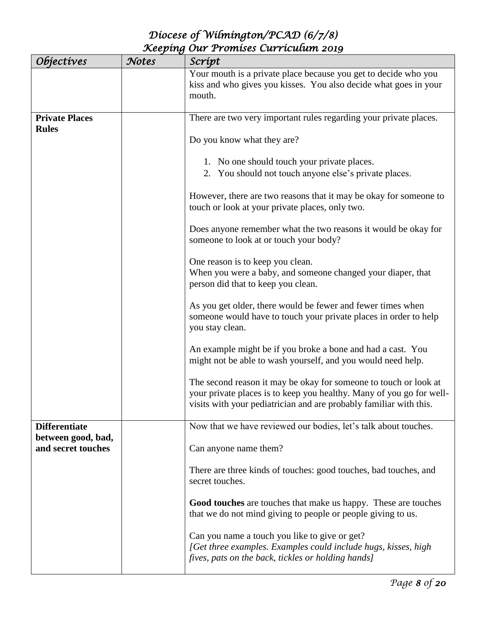| <i><b>Objectives</b></i>                 | Notes | Scrípt                                                                                                                                                                                                         |
|------------------------------------------|-------|----------------------------------------------------------------------------------------------------------------------------------------------------------------------------------------------------------------|
|                                          |       | Your mouth is a private place because you get to decide who you<br>kiss and who gives you kisses. You also decide what goes in your<br>mouth.                                                                  |
| <b>Private Places</b>                    |       | There are two very important rules regarding your private places.                                                                                                                                              |
| <b>Rules</b>                             |       | Do you know what they are?                                                                                                                                                                                     |
|                                          |       | 1. No one should touch your private places.                                                                                                                                                                    |
|                                          |       | 2. You should not touch anyone else's private places.                                                                                                                                                          |
|                                          |       | However, there are two reasons that it may be okay for someone to<br>touch or look at your private places, only two.                                                                                           |
|                                          |       | Does anyone remember what the two reasons it would be okay for<br>someone to look at or touch your body?                                                                                                       |
|                                          |       | One reason is to keep you clean.                                                                                                                                                                               |
|                                          |       | When you were a baby, and someone changed your diaper, that<br>person did that to keep you clean.                                                                                                              |
|                                          |       | As you get older, there would be fewer and fewer times when<br>someone would have to touch your private places in order to help<br>you stay clean.                                                             |
|                                          |       | An example might be if you broke a bone and had a cast. You<br>might not be able to wash yourself, and you would need help.                                                                                    |
|                                          |       | The second reason it may be okay for someone to touch or look at<br>your private places is to keep you healthy. Many of you go for well-<br>visits with your pediatrician and are probably familiar with this. |
| <b>Differentiate</b>                     |       | Now that we have reviewed our bodies, let's talk about touches.                                                                                                                                                |
| between good, bad,<br>and secret touches |       | Can anyone name them?                                                                                                                                                                                          |
|                                          |       | There are three kinds of touches: good touches, bad touches, and<br>secret touches.                                                                                                                            |
|                                          |       | Good touches are touches that make us happy. These are touches<br>that we do not mind giving to people or people giving to us.                                                                                 |
|                                          |       | Can you name a touch you like to give or get?<br>[Get three examples. Examples could include hugs, kisses, high<br>fives, pats on the back, tickles or holding hands]                                          |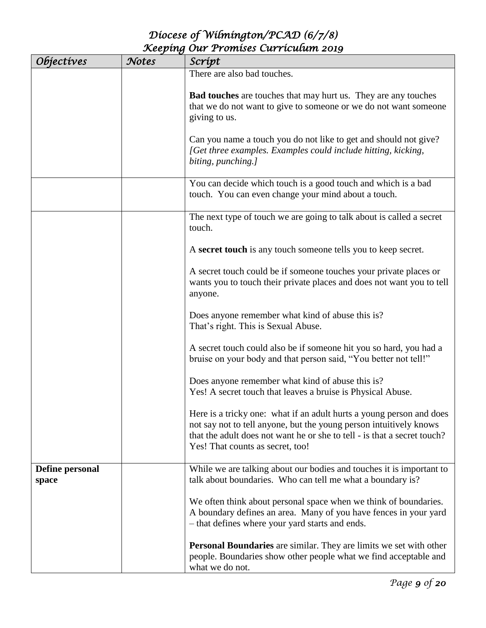| <i><b>Objectives</b></i> | Notes | Scrípt                                                                                                                                                                                                                                                     |
|--------------------------|-------|------------------------------------------------------------------------------------------------------------------------------------------------------------------------------------------------------------------------------------------------------------|
|                          |       | There are also bad touches.                                                                                                                                                                                                                                |
|                          |       | <b>Bad touches</b> are touches that may hurt us. They are any touches<br>that we do not want to give to someone or we do not want someone<br>giving to us.                                                                                                 |
|                          |       | Can you name a touch you do not like to get and should not give?<br>[Get three examples. Examples could include hitting, kicking,<br>biting, punching.]                                                                                                    |
|                          |       | You can decide which touch is a good touch and which is a bad<br>touch. You can even change your mind about a touch.                                                                                                                                       |
|                          |       | The next type of touch we are going to talk about is called a secret<br>touch.                                                                                                                                                                             |
|                          |       | A secret touch is any touch someone tells you to keep secret.                                                                                                                                                                                              |
|                          |       | A secret touch could be if someone touches your private places or<br>wants you to touch their private places and does not want you to tell<br>anyone.                                                                                                      |
|                          |       | Does anyone remember what kind of abuse this is?<br>That's right. This is Sexual Abuse.                                                                                                                                                                    |
|                          |       | A secret touch could also be if someone hit you so hard, you had a<br>bruise on your body and that person said, "You better not tell!"                                                                                                                     |
|                          |       | Does anyone remember what kind of abuse this is?<br>Yes! A secret touch that leaves a bruise is Physical Abuse.                                                                                                                                            |
|                          |       | Here is a tricky one: what if an adult hurts a young person and does<br>not say not to tell anyone, but the young person intuitively knows<br>that the adult does not want he or she to tell - is that a secret touch?<br>Yes! That counts as secret, too! |
| Define personal<br>space |       | While we are talking about our bodies and touches it is important to<br>talk about boundaries. Who can tell me what a boundary is?                                                                                                                         |
|                          |       | We often think about personal space when we think of boundaries.<br>A boundary defines an area. Many of you have fences in your yard<br>- that defines where your yard starts and ends.                                                                    |
|                          |       | <b>Personal Boundaries</b> are similar. They are limits we set with other<br>people. Boundaries show other people what we find acceptable and<br>what we do not.                                                                                           |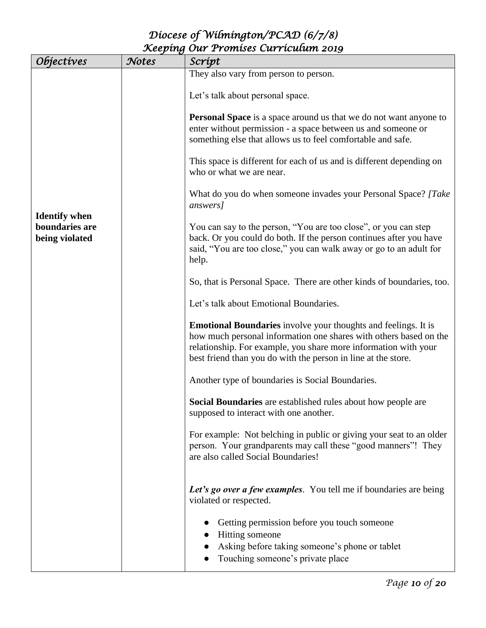| Objectives                                               | Notes | Scrípt                                                                                                                                                                                                                                                                         |
|----------------------------------------------------------|-------|--------------------------------------------------------------------------------------------------------------------------------------------------------------------------------------------------------------------------------------------------------------------------------|
|                                                          |       | They also vary from person to person.                                                                                                                                                                                                                                          |
|                                                          |       | Let's talk about personal space.                                                                                                                                                                                                                                               |
|                                                          |       | <b>Personal Space</b> is a space around us that we do not want anyone to<br>enter without permission - a space between us and someone or<br>something else that allows us to feel comfortable and safe.                                                                        |
|                                                          |       | This space is different for each of us and is different depending on<br>who or what we are near.                                                                                                                                                                               |
|                                                          |       | What do you do when someone invades your Personal Space? [Take<br>answers]                                                                                                                                                                                                     |
| <b>Identify when</b><br>boundaries are<br>being violated |       | You can say to the person, "You are too close", or you can step<br>back. Or you could do both. If the person continues after you have<br>said, "You are too close," you can walk away or go to an adult for<br>help.                                                           |
|                                                          |       | So, that is Personal Space. There are other kinds of boundaries, too.                                                                                                                                                                                                          |
|                                                          |       | Let's talk about Emotional Boundaries.                                                                                                                                                                                                                                         |
|                                                          |       | <b>Emotional Boundaries</b> involve your thoughts and feelings. It is<br>how much personal information one shares with others based on the<br>relationship. For example, you share more information with your<br>best friend than you do with the person in line at the store. |
|                                                          |       | Another type of boundaries is Social Boundaries.                                                                                                                                                                                                                               |
|                                                          |       | Social Boundaries are established rules about how people are<br>supposed to interact with one another.                                                                                                                                                                         |
|                                                          |       | For example: Not belching in public or giving your seat to an older<br>person. Your grandparents may call these "good manners"! They<br>are also called Social Boundaries!                                                                                                     |
|                                                          |       | Let's go over a few examples. You tell me if boundaries are being<br>violated or respected.                                                                                                                                                                                    |
|                                                          |       | Getting permission before you touch someone<br>Hitting someone                                                                                                                                                                                                                 |
|                                                          |       | Asking before taking someone's phone or tablet<br>Touching someone's private place                                                                                                                                                                                             |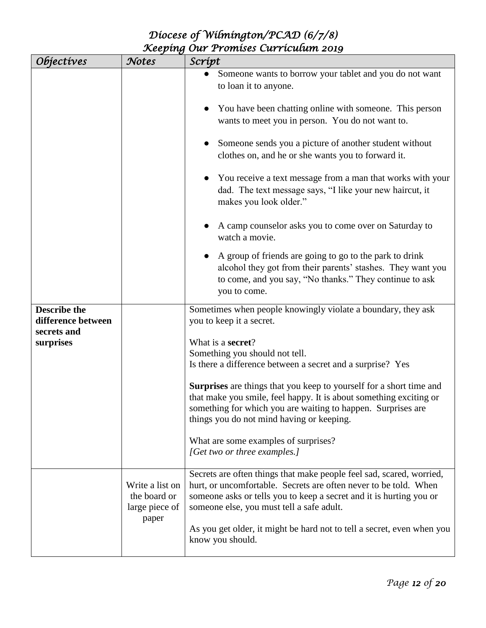| <i><b>Objectives</b></i>                  | Notes                                             | Scrípt                                                                                                                                                                                                                                                        |
|-------------------------------------------|---------------------------------------------------|---------------------------------------------------------------------------------------------------------------------------------------------------------------------------------------------------------------------------------------------------------------|
|                                           |                                                   | Someone wants to borrow your tablet and you do not want<br>to loan it to anyone.                                                                                                                                                                              |
|                                           |                                                   | You have been chatting online with someone. This person<br>wants to meet you in person. You do not want to.                                                                                                                                                   |
|                                           |                                                   | Someone sends you a picture of another student without<br>clothes on, and he or she wants you to forward it.                                                                                                                                                  |
|                                           |                                                   | You receive a text message from a man that works with your<br>dad. The text message says, "I like your new haircut, it<br>makes you look older."                                                                                                              |
|                                           |                                                   | A camp counselor asks you to come over on Saturday to<br>watch a movie.                                                                                                                                                                                       |
|                                           |                                                   | A group of friends are going to go to the park to drink<br>alcohol they got from their parents' stashes. They want you<br>to come, and you say, "No thanks." They continue to ask<br>you to come.                                                             |
| <b>Describe the</b><br>difference between |                                                   | Sometimes when people knowingly violate a boundary, they ask<br>you to keep it a secret.                                                                                                                                                                      |
| secrets and<br>surprises                  |                                                   | What is a <b>secret</b> ?<br>Something you should not tell.<br>Is there a difference between a secret and a surprise? Yes                                                                                                                                     |
|                                           |                                                   | <b>Surprises</b> are things that you keep to yourself for a short time and<br>that make you smile, feel happy. It is about something exciting or<br>something for which you are waiting to happen. Surprises are<br>things you do not mind having or keeping. |
|                                           |                                                   | What are some examples of surprises?<br>[Get two or three examples.]                                                                                                                                                                                          |
|                                           | Write a list on<br>the board or<br>large piece of | Secrets are often things that make people feel sad, scared, worried,<br>hurt, or uncomfortable. Secrets are often never to be told. When<br>someone asks or tells you to keep a secret and it is hurting you or<br>someone else, you must tell a safe adult.  |
|                                           | paper                                             | As you get older, it might be hard not to tell a secret, even when you<br>know you should.                                                                                                                                                                    |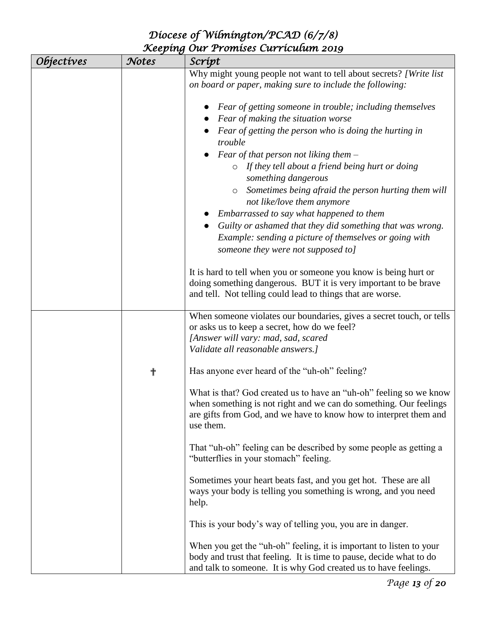| <i><b>Objectives</b></i> | Notes | Scrípt                                                                                                                                 |
|--------------------------|-------|----------------------------------------------------------------------------------------------------------------------------------------|
|                          |       | Why might young people not want to tell about secrets? [Write list]                                                                    |
|                          |       | on board or paper, making sure to include the following:                                                                               |
|                          |       |                                                                                                                                        |
|                          |       | Fear of getting someone in trouble; including themselves                                                                               |
|                          |       | Fear of making the situation worse                                                                                                     |
|                          |       | Fear of getting the person who is doing the hurting in                                                                                 |
|                          |       | trouble                                                                                                                                |
|                          |       | Fear of that person not liking them $-$                                                                                                |
|                          |       | $\circ$ If they tell about a friend being hurt or doing                                                                                |
|                          |       | something dangerous                                                                                                                    |
|                          |       | Sometimes being afraid the person hurting them will<br>$\circ$                                                                         |
|                          |       | not like/love them anymore                                                                                                             |
|                          |       | Embarrassed to say what happened to them                                                                                               |
|                          |       | Guilty or ashamed that they did something that was wrong.                                                                              |
|                          |       | Example: sending a picture of themselves or going with<br>someone they were not supposed to]                                           |
|                          |       |                                                                                                                                        |
|                          |       | It is hard to tell when you or someone you know is being hurt or                                                                       |
|                          |       | doing something dangerous. BUT it is very important to be brave                                                                        |
|                          |       | and tell. Not telling could lead to things that are worse.                                                                             |
|                          |       |                                                                                                                                        |
|                          |       | When someone violates our boundaries, gives a secret touch, or tells                                                                   |
|                          |       | or asks us to keep a secret, how do we feel?<br>[Answer will vary: mad, sad, scared                                                    |
|                          |       | Validate all reasonable answers.]                                                                                                      |
|                          |       |                                                                                                                                        |
|                          | ╋     | Has anyone ever heard of the "uh-oh" feeling?                                                                                          |
|                          |       |                                                                                                                                        |
|                          |       | What is that? God created us to have an "uh-oh" feeling so we know                                                                     |
|                          |       | when something is not right and we can do something. Our feelings<br>are gifts from God, and we have to know how to interpret them and |
|                          |       | use them.                                                                                                                              |
|                          |       |                                                                                                                                        |
|                          |       | That "uh-oh" feeling can be described by some people as getting a                                                                      |
|                          |       | "butterflies in your stomach" feeling.                                                                                                 |
|                          |       |                                                                                                                                        |
|                          |       | Sometimes your heart beats fast, and you get hot. These are all<br>ways your body is telling you something is wrong, and you need      |
|                          |       | help.                                                                                                                                  |
|                          |       |                                                                                                                                        |
|                          |       | This is your body's way of telling you, you are in danger.                                                                             |
|                          |       |                                                                                                                                        |
|                          |       | When you get the "uh-oh" feeling, it is important to listen to your                                                                    |
|                          |       | body and trust that feeling. It is time to pause, decide what to do                                                                    |
|                          |       | and talk to someone. It is why God created us to have feelings.                                                                        |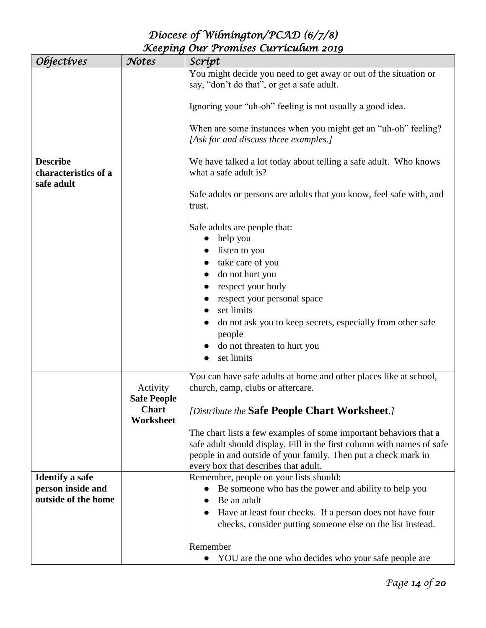| <i><b>Objectives</b></i>                              | Notes                     | Scrípt                                                                                                                                                                                                                                                                                  |
|-------------------------------------------------------|---------------------------|-----------------------------------------------------------------------------------------------------------------------------------------------------------------------------------------------------------------------------------------------------------------------------------------|
|                                                       |                           | You might decide you need to get away or out of the situation or<br>say, "don't do that", or get a safe adult.                                                                                                                                                                          |
|                                                       |                           | Ignoring your "uh-oh" feeling is not usually a good idea.                                                                                                                                                                                                                               |
|                                                       |                           | When are some instances when you might get an "uh-oh" feeling?<br>[Ask for and discuss three examples.]                                                                                                                                                                                 |
| <b>Describe</b><br>characteristics of a<br>safe adult |                           | We have talked a lot today about telling a safe adult. Who knows<br>what a safe adult is?                                                                                                                                                                                               |
|                                                       |                           | Safe adults or persons are adults that you know, feel safe with, and<br>trust.                                                                                                                                                                                                          |
|                                                       |                           | Safe adults are people that:<br>help you<br>listen to you<br>take care of you<br>do not hurt you<br>respect your body<br>respect your personal space<br>set limits<br>do not ask you to keep secrets, especially from other safe<br>people<br>do not threaten to hurt you<br>set limits |
|                                                       | Activity                  | You can have safe adults at home and other places like at school,<br>church, camp, clubs or aftercare.                                                                                                                                                                                  |
|                                                       | <b>Safe People</b>        |                                                                                                                                                                                                                                                                                         |
|                                                       | <b>Chart</b><br>Worksheet | [Distribute the Safe People Chart Worksheet.]                                                                                                                                                                                                                                           |
|                                                       |                           | The chart lists a few examples of some important behaviors that a<br>safe adult should display. Fill in the first column with names of safe<br>people in and outside of your family. Then put a check mark in                                                                           |
| <b>Identify a safe</b>                                |                           | every box that describes that adult.<br>Remember, people on your lists should:                                                                                                                                                                                                          |
| person inside and                                     |                           | Be someone who has the power and ability to help you                                                                                                                                                                                                                                    |
| outside of the home                                   |                           | Be an adult                                                                                                                                                                                                                                                                             |
|                                                       |                           | Have at least four checks. If a person does not have four<br>checks, consider putting someone else on the list instead.                                                                                                                                                                 |
|                                                       |                           | Remember                                                                                                                                                                                                                                                                                |
|                                                       |                           | YOU are the one who decides who your safe people are                                                                                                                                                                                                                                    |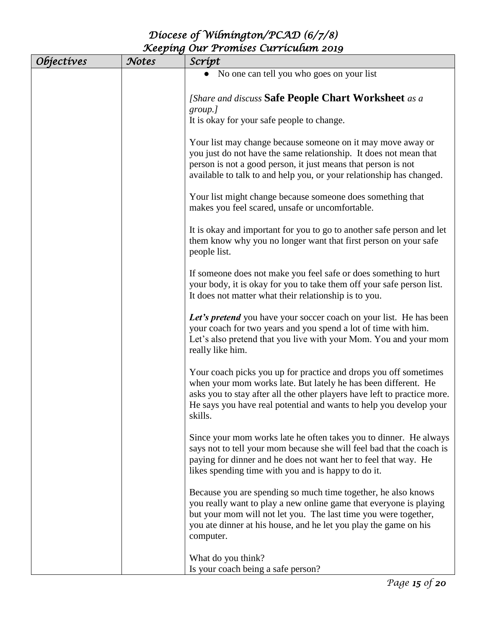| <i><b>Objectives</b></i> | Notes | Scrípt                                                                                                                                                                                                                                                                                          |
|--------------------------|-------|-------------------------------------------------------------------------------------------------------------------------------------------------------------------------------------------------------------------------------------------------------------------------------------------------|
|                          |       | No one can tell you who goes on your list                                                                                                                                                                                                                                                       |
|                          |       | [Share and discuss Safe People Chart Worksheet as a<br>group.]<br>It is okay for your safe people to change.                                                                                                                                                                                    |
|                          |       | Your list may change because someone on it may move away or<br>you just do not have the same relationship. It does not mean that<br>person is not a good person, it just means that person is not<br>available to talk to and help you, or your relationship has changed.                       |
|                          |       | Your list might change because someone does something that<br>makes you feel scared, unsafe or uncomfortable.                                                                                                                                                                                   |
|                          |       | It is okay and important for you to go to another safe person and let<br>them know why you no longer want that first person on your safe<br>people list.                                                                                                                                        |
|                          |       | If someone does not make you feel safe or does something to hurt<br>your body, it is okay for you to take them off your safe person list.<br>It does not matter what their relationship is to you.                                                                                              |
|                          |       | Let's pretend you have your soccer coach on your list. He has been<br>your coach for two years and you spend a lot of time with him.<br>Let's also pretend that you live with your Mom. You and your mom<br>really like him.                                                                    |
|                          |       | Your coach picks you up for practice and drops you off sometimes<br>when your mom works late. But lately he has been different. He<br>asks you to stay after all the other players have left to practice more.<br>He says you have real potential and wants to help you develop your<br>skills. |
|                          |       | Since your mom works late he often takes you to dinner. He always<br>says not to tell your mom because she will feel bad that the coach is<br>paying for dinner and he does not want her to feel that way. He<br>likes spending time with you and is happy to do it.                            |
|                          |       | Because you are spending so much time together, he also knows<br>you really want to play a new online game that everyone is playing<br>but your mom will not let you. The last time you were together,<br>you ate dinner at his house, and he let you play the game on his<br>computer.         |
|                          |       | What do you think?<br>Is your coach being a safe person?                                                                                                                                                                                                                                        |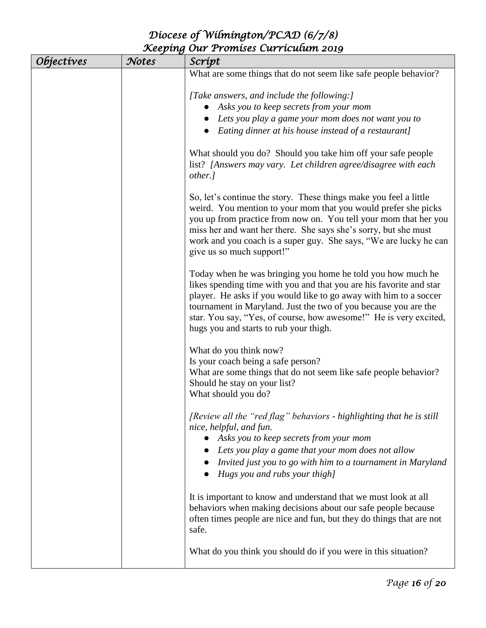| <i><b>Objectives</b></i> | Notes | Scrípt                                                                                                                                                                                                                                                                                                                                                                                    |
|--------------------------|-------|-------------------------------------------------------------------------------------------------------------------------------------------------------------------------------------------------------------------------------------------------------------------------------------------------------------------------------------------------------------------------------------------|
|                          |       | What are some things that do not seem like safe people behavior?                                                                                                                                                                                                                                                                                                                          |
|                          |       | [Take answers, and include the following:]<br>Asks you to keep secrets from your mom<br>Lets you play a game your mom does not want you to<br>Eating dinner at his house instead of a restaurant]                                                                                                                                                                                         |
|                          |       | What should you do? Should you take him off your safe people<br>list? [Answers may vary. Let children agree/disagree with each<br>other.]                                                                                                                                                                                                                                                 |
|                          |       | So, let's continue the story. These things make you feel a little<br>weird. You mention to your mom that you would prefer she picks<br>you up from practice from now on. You tell your mom that her you<br>miss her and want her there. She says she's sorry, but she must<br>work and you coach is a super guy. She says, "We are lucky he can<br>give us so much support!"              |
|                          |       | Today when he was bringing you home he told you how much he<br>likes spending time with you and that you are his favorite and star<br>player. He asks if you would like to go away with him to a soccer<br>tournament in Maryland. Just the two of you because you are the<br>star. You say, "Yes, of course, how awesome!" He is very excited,<br>hugs you and starts to rub your thigh. |
|                          |       | What do you think now?<br>Is your coach being a safe person?<br>What are some things that do not seem like safe people behavior?<br>Should he stay on your list?<br>What should you do?                                                                                                                                                                                                   |
|                          |       | [Review all the "red flag" behaviors - highlighting that he is still<br>nice, helpful, and fun.<br>Asks you to keep secrets from your mom<br>Lets you play a game that your mom does not allow<br>Invited just you to go with him to a tournament in Maryland<br>Hugs you and rubs your thigh]                                                                                            |
|                          |       | It is important to know and understand that we must look at all<br>behaviors when making decisions about our safe people because<br>often times people are nice and fun, but they do things that are not<br>safe.                                                                                                                                                                         |
|                          |       | What do you think you should do if you were in this situation?                                                                                                                                                                                                                                                                                                                            |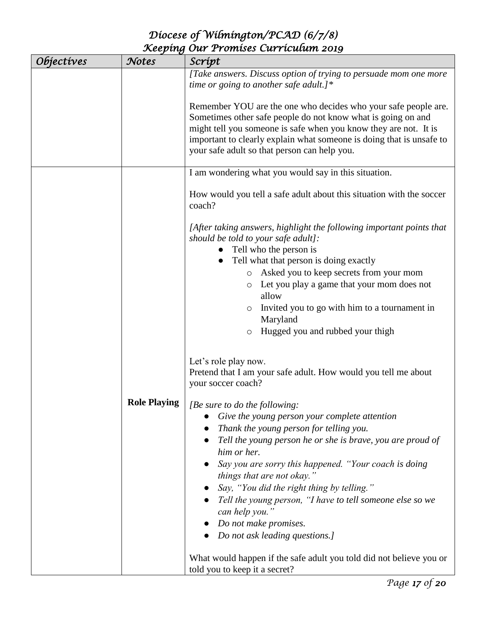| <i><b>Objectives</b></i> | Notes               | Scrípt                                                                                                                                                                                                                                                                                                                     |
|--------------------------|---------------------|----------------------------------------------------------------------------------------------------------------------------------------------------------------------------------------------------------------------------------------------------------------------------------------------------------------------------|
|                          |                     | [Take answers. Discuss option of trying to persuade mom one more<br>time or going to another safe adult.]*                                                                                                                                                                                                                 |
|                          |                     | Remember YOU are the one who decides who your safe people are.<br>Sometimes other safe people do not know what is going on and<br>might tell you someone is safe when you know they are not. It is<br>important to clearly explain what someone is doing that is unsafe to<br>your safe adult so that person can help you. |
|                          |                     | I am wondering what you would say in this situation.                                                                                                                                                                                                                                                                       |
|                          |                     | How would you tell a safe adult about this situation with the soccer<br>coach?                                                                                                                                                                                                                                             |
|                          |                     | [After taking answers, highlight the following important points that<br>should be told to your safe adult]:                                                                                                                                                                                                                |
|                          |                     | Tell who the person is<br>Tell what that person is doing exactly<br>$\bullet$                                                                                                                                                                                                                                              |
|                          |                     | Asked you to keep secrets from your mom<br>$\circ$                                                                                                                                                                                                                                                                         |
|                          |                     | Let you play a game that your mom does not<br>O<br>allow                                                                                                                                                                                                                                                                   |
|                          |                     | Invited you to go with him to a tournament in<br>O<br>Maryland                                                                                                                                                                                                                                                             |
|                          |                     | Hugged you and rubbed your thigh<br>O                                                                                                                                                                                                                                                                                      |
|                          |                     |                                                                                                                                                                                                                                                                                                                            |
|                          |                     | Let's role play now.<br>Pretend that I am your safe adult. How would you tell me about<br>your soccer coach?                                                                                                                                                                                                               |
|                          | <b>Role Playing</b> | [Be sure to do the following:                                                                                                                                                                                                                                                                                              |
|                          |                     | Give the young person your complete attention                                                                                                                                                                                                                                                                              |
|                          |                     | Thank the young person for telling you.                                                                                                                                                                                                                                                                                    |
|                          |                     | Tell the young person he or she is brave, you are proud of<br>him or her.                                                                                                                                                                                                                                                  |
|                          |                     | Say you are sorry this happened. "Your coach is doing<br>things that are not okay."                                                                                                                                                                                                                                        |
|                          |                     | Say, "You did the right thing by telling."                                                                                                                                                                                                                                                                                 |
|                          |                     | Tell the young person, "I have to tell someone else so we<br>can help you."                                                                                                                                                                                                                                                |
|                          |                     | Do not make promises.                                                                                                                                                                                                                                                                                                      |
|                          |                     | Do not ask leading questions.]                                                                                                                                                                                                                                                                                             |
|                          |                     | What would happen if the safe adult you told did not believe you or<br>told you to keep it a secret?                                                                                                                                                                                                                       |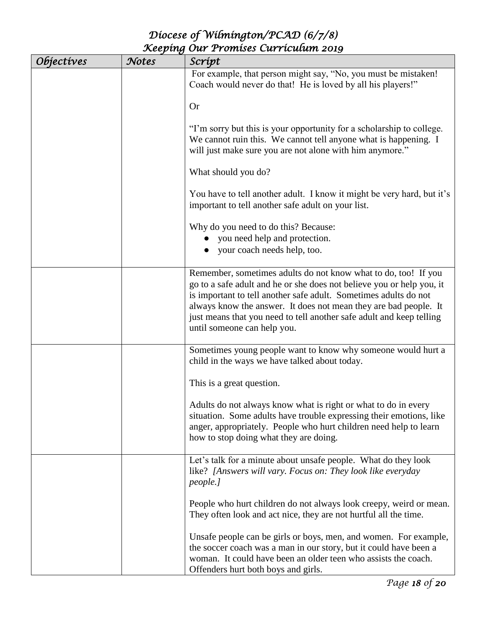| <i><b>Objectives</b></i> | Notes | Script                                                                                                                                                                                                                                                                                                                                                                                 |
|--------------------------|-------|----------------------------------------------------------------------------------------------------------------------------------------------------------------------------------------------------------------------------------------------------------------------------------------------------------------------------------------------------------------------------------------|
|                          |       | For example, that person might say, "No, you must be mistaken!<br>Coach would never do that! He is loved by all his players!"                                                                                                                                                                                                                                                          |
|                          |       | <b>Or</b>                                                                                                                                                                                                                                                                                                                                                                              |
|                          |       | "I'm sorry but this is your opportunity for a scholarship to college.<br>We cannot ruin this. We cannot tell anyone what is happening. I<br>will just make sure you are not alone with him anymore."                                                                                                                                                                                   |
|                          |       | What should you do?                                                                                                                                                                                                                                                                                                                                                                    |
|                          |       | You have to tell another adult. I know it might be very hard, but it's<br>important to tell another safe adult on your list.                                                                                                                                                                                                                                                           |
|                          |       | Why do you need to do this? Because:<br>you need help and protection.<br>your coach needs help, too.                                                                                                                                                                                                                                                                                   |
|                          |       | Remember, sometimes adults do not know what to do, too! If you<br>go to a safe adult and he or she does not believe you or help you, it<br>is important to tell another safe adult. Sometimes adults do not<br>always know the answer. It does not mean they are bad people. It<br>just means that you need to tell another safe adult and keep telling<br>until someone can help you. |
|                          |       | Sometimes young people want to know why someone would hurt a<br>child in the ways we have talked about today.                                                                                                                                                                                                                                                                          |
|                          |       | This is a great question.                                                                                                                                                                                                                                                                                                                                                              |
|                          |       | Adults do not always know what is right or what to do in every<br>situation. Some adults have trouble expressing their emotions, like<br>anger, appropriately. People who hurt children need help to learn<br>how to stop doing what they are doing.                                                                                                                                   |
|                          |       | Let's talk for a minute about unsafe people. What do they look<br>like? [Answers will vary. Focus on: They look like everyday<br>people.]                                                                                                                                                                                                                                              |
|                          |       | People who hurt children do not always look creepy, weird or mean.<br>They often look and act nice, they are not hurtful all the time.                                                                                                                                                                                                                                                 |
|                          |       | Unsafe people can be girls or boys, men, and women. For example,<br>the soccer coach was a man in our story, but it could have been a<br>woman. It could have been an older teen who assists the coach.<br>Offenders hurt both boys and girls.                                                                                                                                         |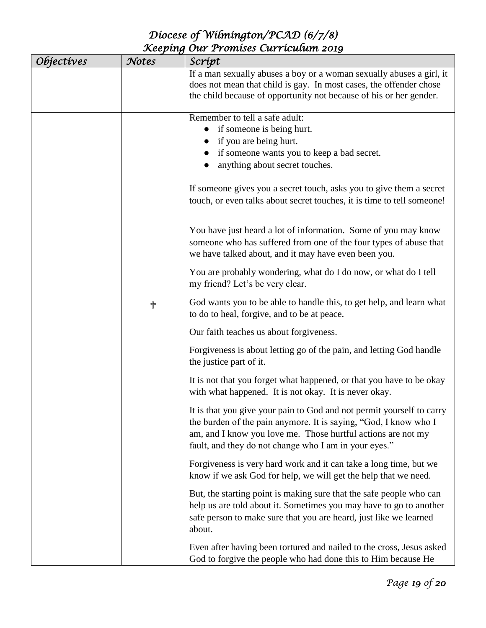| <i><b>Objectives</b></i> | Notes                                                                                                                                | Scrípt                                                                                                                                                                                                                                                             |
|--------------------------|--------------------------------------------------------------------------------------------------------------------------------------|--------------------------------------------------------------------------------------------------------------------------------------------------------------------------------------------------------------------------------------------------------------------|
|                          |                                                                                                                                      | If a man sexually abuses a boy or a woman sexually abuses a girl, it<br>does not mean that child is gay. In most cases, the offender chose<br>the child because of opportunity not because of his or her gender.                                                   |
|                          |                                                                                                                                      | Remember to tell a safe adult:<br>if someone is being hurt.<br>if you are being hurt.<br>if someone wants you to keep a bad secret.<br>anything about secret touches.                                                                                              |
|                          |                                                                                                                                      | If someone gives you a secret touch, asks you to give them a secret<br>touch, or even talks about secret touches, it is time to tell someone!                                                                                                                      |
|                          |                                                                                                                                      | You have just heard a lot of information. Some of you may know<br>someone who has suffered from one of the four types of abuse that<br>we have talked about, and it may have even been you.                                                                        |
|                          |                                                                                                                                      | You are probably wondering, what do I do now, or what do I tell<br>my friend? Let's be very clear.                                                                                                                                                                 |
|                          | ╉                                                                                                                                    | God wants you to be able to handle this, to get help, and learn what<br>to do to heal, forgive, and to be at peace.                                                                                                                                                |
|                          |                                                                                                                                      | Our faith teaches us about forgiveness.                                                                                                                                                                                                                            |
|                          |                                                                                                                                      | Forgiveness is about letting go of the pain, and letting God handle<br>the justice part of it.                                                                                                                                                                     |
|                          |                                                                                                                                      | It is not that you forget what happened, or that you have to be okay<br>with what happened. It is not okay. It is never okay.                                                                                                                                      |
|                          |                                                                                                                                      | It is that you give your pain to God and not permit yourself to carry<br>the burden of the pain anymore. It is saying, "God, I know who I<br>am, and I know you love me. Those hurtful actions are not my<br>fault, and they do not change who I am in your eyes." |
|                          | Forgiveness is very hard work and it can take a long time, but we<br>know if we ask God for help, we will get the help that we need. |                                                                                                                                                                                                                                                                    |
|                          |                                                                                                                                      | But, the starting point is making sure that the safe people who can<br>help us are told about it. Sometimes you may have to go to another<br>safe person to make sure that you are heard, just like we learned<br>about.                                           |
|                          |                                                                                                                                      | Even after having been tortured and nailed to the cross, Jesus asked<br>God to forgive the people who had done this to Him because He                                                                                                                              |